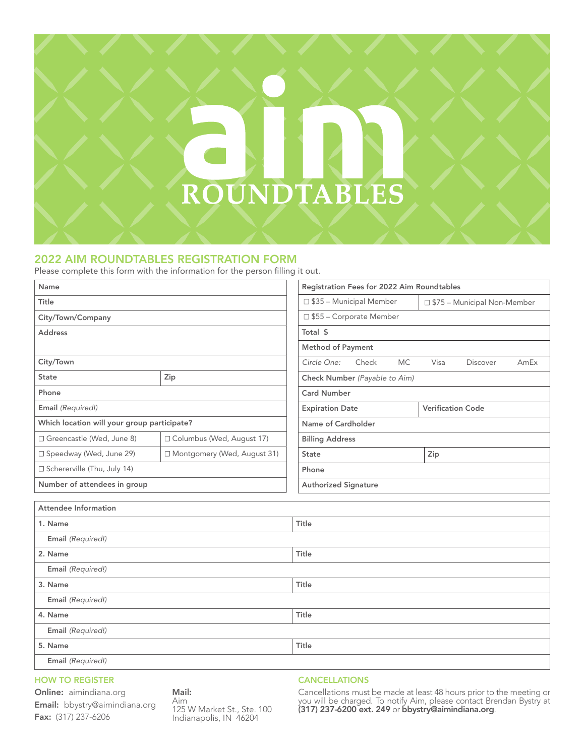# ROUNDTABLES

## 2022 AIM ROUNDTABLES REGISTRATION FORM

Please complete this form with the information for the person filling it out.

| Name                                        |                               | Registration Fees for 2022 Aim Roundtables |                        |           |                               |                 |      |
|---------------------------------------------|-------------------------------|--------------------------------------------|------------------------|-----------|-------------------------------|-----------------|------|
| Title                                       |                               | $\Box$ \$35 – Municipal Member             |                        |           | □ \$75 - Municipal Non-Member |                 |      |
| City/Town/Company                           |                               | □ \$55 - Corporate Member                  |                        |           |                               |                 |      |
| <b>Address</b>                              |                               | Total \$                                   |                        |           |                               |                 |      |
|                                             |                               | <b>Method of Payment</b>                   |                        |           |                               |                 |      |
| City/Town                                   |                               | Circle One:                                | Check                  | <b>MC</b> | Visa                          | <b>Discover</b> | AmEx |
| <b>State</b>                                | Zip                           | Check Number (Payable to Aim)              |                        |           |                               |                 |      |
| Phone                                       |                               | <b>Card Number</b>                         |                        |           |                               |                 |      |
| Email (Required!)                           |                               |                                            | <b>Expiration Date</b> |           | <b>Verification Code</b>      |                 |      |
| Which location will your group participate? |                               | Name of Cardholder                         |                        |           |                               |                 |      |
| □ Greencastle (Wed, June 8)                 | □ Columbus (Wed, August 17)   | <b>Billing Address</b>                     |                        |           |                               |                 |      |
| □ Speedway (Wed, June 29)                   | □ Montgomery (Wed, August 31) | <b>State</b>                               | Zip                    |           |                               |                 |      |
| $\Box$ Schererville (Thu, July 14)          |                               | Phone                                      |                        |           |                               |                 |      |
| Number of attendees in group                |                               | <b>Authorized Signature</b>                |                        |           |                               |                 |      |

| Attendee Information |       |  |  |  |
|----------------------|-------|--|--|--|
| 1. Name              | Title |  |  |  |
| Email (Required!)    |       |  |  |  |
| 2. Name              | Title |  |  |  |
| Email (Required!)    |       |  |  |  |
| 3. Name              | Title |  |  |  |
| Email (Required!)    |       |  |  |  |
| 4. Name              | Title |  |  |  |
| Email (Required!)    |       |  |  |  |
| 5. Name              | Title |  |  |  |
| Email (Required!)    |       |  |  |  |

#### HOW TO REGISTER

## Online: aimindiana.org

Email: bbystry@aimindiana.org Fax: (317) 237-6206

Mail: Aim 125 W Market St., Ste. 100 Indianapolis, IN 46204

## CANCELLATIONS

Cancellations must be made at least 48 hours prior to the meeting or you will be charged. To notify Aim, please contact Brendan Bystry at (317) 237-6200 ext. 249 or bbystry@aimindiana.org.